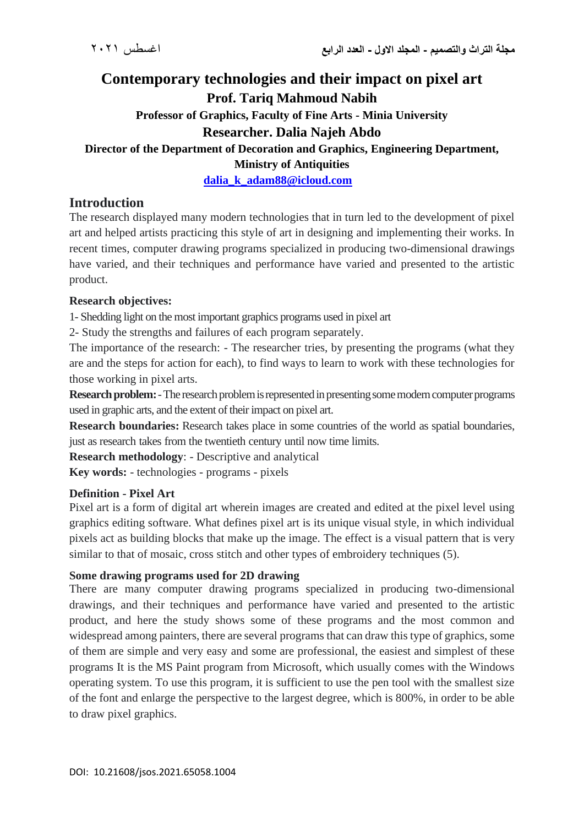# **Contemporary technologies and their impact on pixel art Prof. Tariq Mahmoud Nabih Professor of Graphics, Faculty of Fine Arts - Minia University Researcher. Dalia Najeh Abdo Director of the Department of Decoration and Graphics, Engineering Department, Ministry of Antiquities**

**[dalia\\_k\\_adam88@icloud.com](mailto:dalia_k_adam88@icloud.com)** 

## **Introduction**

The research displayed many modern technologies that in turn led to the development of pixel art and helped artists practicing this style of art in designing and implementing their works. In recent times, computer drawing programs specialized in producing two-dimensional drawings have varied, and their techniques and performance have varied and presented to the artistic product.

## **Research objectives:**

1- Shedding light on the most important graphics programs used in pixel art

2- Study the strengths and failures of each program separately.

The importance of the research: - The researcher tries, by presenting the programs (what they are and the steps for action for each), to find ways to learn to work with these technologies for those working in pixel arts.

**Research problem:**-The research problem is represented in presenting some modern computer programs used in graphic arts, and the extent of their impact on pixel art.

**Research boundaries:** Research takes place in some countries of the world as spatial boundaries, just as research takes from the twentieth century until now time limits.

**Research methodology**: - Descriptive and analytical

**Key words:** - technologies - programs - pixels

## **Definition - Pixel Art**

Pixel art is a form of digital art wherein images are created and edited at the pixel level using graphics editing software. What defines pixel art is its unique visual style, in which individual pixels act as building blocks that make up the image. The effect is a visual pattern that is very similar to that of mosaic, cross stitch and other types of embroidery techniques (5).

#### **Some drawing programs used for 2D drawing**

There are many computer drawing programs specialized in producing two-dimensional drawings, and their techniques and performance have varied and presented to the artistic product, and here the study shows some of these programs and the most common and widespread among painters, there are several programs that can draw this type of graphics, some of them are simple and very easy and some are professional, the easiest and simplest of these programs It is the MS Paint program from Microsoft, which usually comes with the Windows operating system. To use this program, it is sufficient to use the pen tool with the smallest size of the font and enlarge the perspective to the largest degree, which is 800%, in order to be able to draw pixel graphics.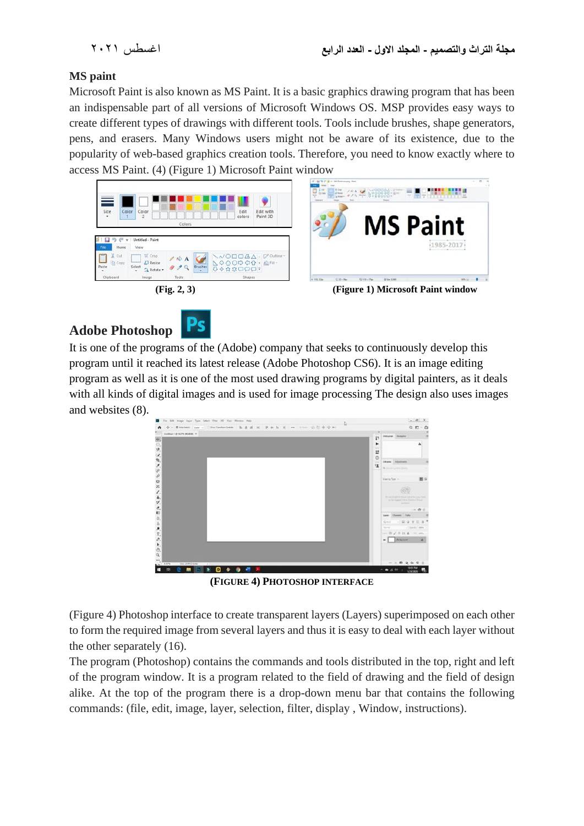## **MS paint**

Microsoft Paint is also known as MS Paint. It is a basic graphics drawing program that has been an indispensable part of all versions of Microsoft Windows OS. MSP provides easy ways to create different types of drawings with different tools. Tools include brushes, shape generators, pens, and erasers. Many Windows users might not be aware of its existence, due to the popularity of web-based graphics creation tools. Therefore, you need to know exactly where to access MS Paint. (4) (Figure 1) Microsoft Paint window



# **Adobe Photoshop**



It is one of the programs of the (Adobe) company that seeks to continuously develop this program until it reached its latest release (Adobe Photoshop CS6). It is an image editing program as well as it is one of the most used drawing programs by digital painters, as it deals with all kinds of digital images and is used for image processing The design also uses images and websites (8).



**(FIGURE 4) PHOTOSHOP INTERFACE**

(Figure 4) Photoshop interface to create transparent layers (Layers) superimposed on each other to form the required image from several layers and thus it is easy to deal with each layer without the other separately (16).

The program (Photoshop) contains the commands and tools distributed in the top, right and left of the program window. It is a program related to the field of drawing and the field of design alike. At the top of the program there is a drop-down menu bar that contains the following commands: (file, edit, image, layer, selection, filter, display , Window, instructions).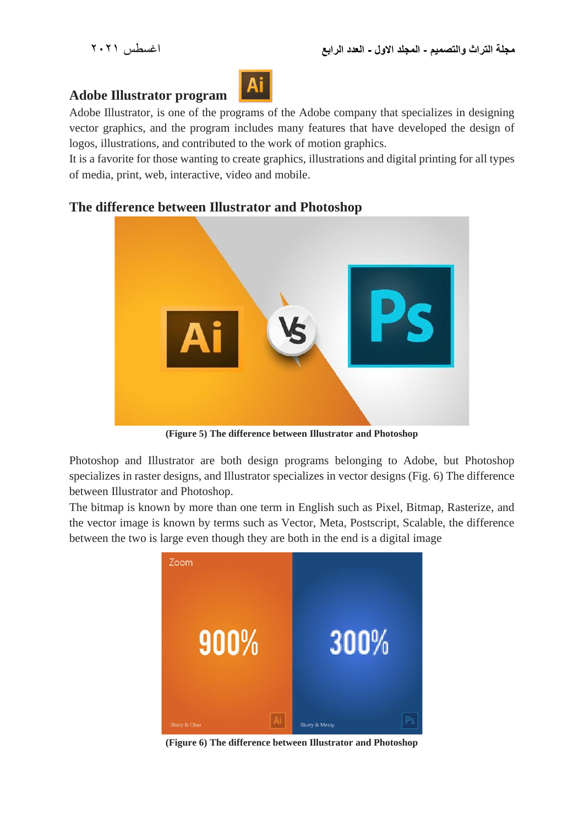## **Adobe Illustrator program**



Adobe Illustrator, is one of the programs of the Adobe company that specializes in designing vector graphics, and the program includes many features that have developed the design of logos, illustrations, and contributed to the work of motion graphics.

It is a favorite for those wanting to create graphics, illustrations and digital printing for all types of media, print, web, interactive, video and mobile.



# **The difference between Illustrator and Photoshop**

**(Figure 5) The difference between Illustrator and Photoshop**

Photoshop and Illustrator are both design programs belonging to Adobe, but Photoshop specializes in raster designs, and Illustrator specializes in vector designs (Fig. 6) The difference between Illustrator and Photoshop.

The bitmap is known by more than one term in English such as Pixel, Bitmap, Rasterize, and the vector image is known by terms such as Vector, Meta, Postscript, Scalable, the difference between the two is large even though they are both in the end is a digital image



**(Figure 6) The difference between Illustrator and Photoshop**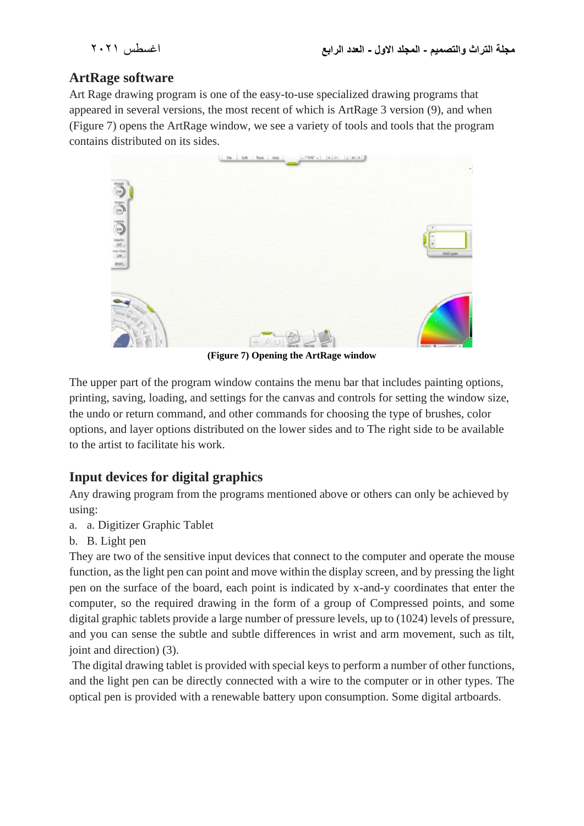# **ArtRage software**

Art Rage drawing program is one of the easy-to-use specialized drawing programs that appeared in several versions, the most recent of which is ArtRage 3 version (9), and when (Figure 7) opens the ArtRage window, we see a variety of tools and tools that the program contains distributed on its sides.



**(Figure 7) Opening the ArtRage window**

The upper part of the program window contains the menu bar that includes painting options, printing, saving, loading, and settings for the canvas and controls for setting the window size, the undo or return command, and other commands for choosing the type of brushes, color options, and layer options distributed on the lower sides and to The right side to be available to the artist to facilitate his work.

# **Input devices for digital graphics**

Any drawing program from the programs mentioned above or others can only be achieved by using:

- a. a. Digitizer Graphic Tablet
- b. B. Light pen

They are two of the sensitive input devices that connect to the computer and operate the mouse function, as the light pen can point and move within the display screen, and by pressing the light pen on the surface of the board, each point is indicated by x-and-y coordinates that enter the computer, so the required drawing in the form of a group of Compressed points, and some digital graphic tablets provide a large number of pressure levels, up to (1024) levels of pressure, and you can sense the subtle and subtle differences in wrist and arm movement, such as tilt, joint and direction) (3).

The digital drawing tablet is provided with special keys to perform a number of other functions, and the light pen can be directly connected with a wire to the computer or in other types. The optical pen is provided with a renewable battery upon consumption. Some digital artboards.